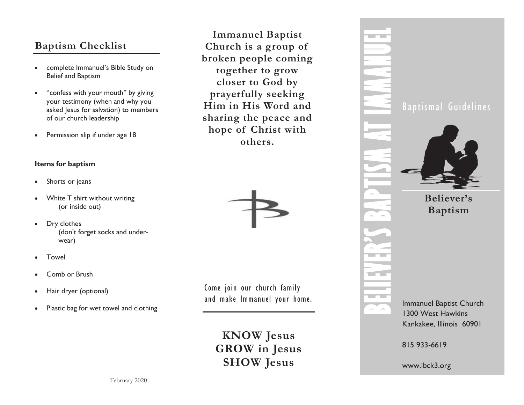# **Baptism Checklist**

- complete Immanuel's Bible Study on Belief and Baptism
- "confess with your mouth" by giving your testimony (when and why you asked Jesus for salvation) to members of our church leadership
- Permission slip if under age 18

### **Items for baptism**

- Shorts or jeans
- White T shirt without writing (or inside out)
- Dry clothes (don't forget socks and underwear)
- Towel
- Comb or Brush
- Hair dryer (optional)
- Plastic bag for wet towel and clothing

**Immanuel Baptist Church is a group of broken people coming together to grow closer to God by prayerfully seeking Him in His Word and sharing the peace and hope of Christ with others.**



Come join our church family and make Immanuel your home.

> **KNOW Jesus GROW in Jesus SHOW Jesus**



815 933-6619

www.ibck3.org